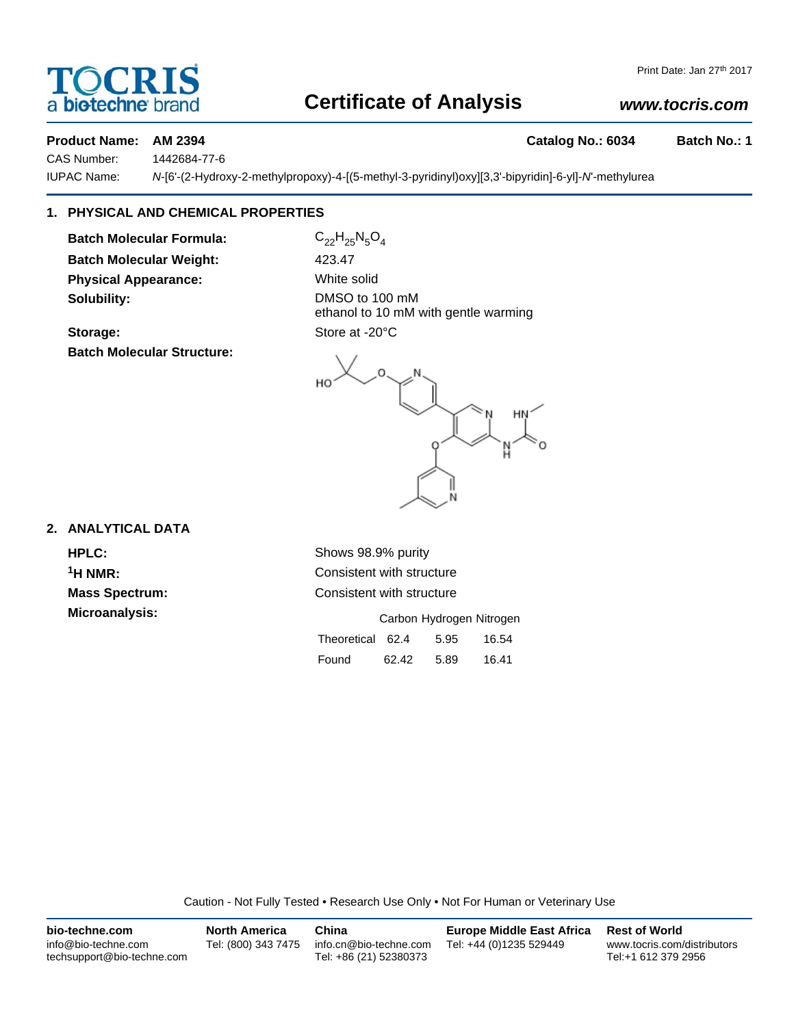# a **bio-techne** brand

# **Certificate of Analysis**

# *www.tocris.com*

#### **Product Name: AM 2394 Catalog No.: 6034 Batch No.: 1**

CAS Number: 1442684-77-6

IUPAC Name: *N*-[6'-(2-Hydroxy-2-methylpropoxy)-4-[(5-methyl-3-pyridinyl)oxy][3,3'-bipyridin]-6-yl]-*N*'-methylurea

# **1. PHYSICAL AND CHEMICAL PROPERTIES**

**Batch Molecular Formula:** C<sub>22</sub>H<sub>25</sub>N<sub>5</sub>O<sub>4</sub> **Batch Molecular Weight:** 423.47 **Physical Appearance:** White solid **Solubility:** DMSO to 100 mM

Storage: Store at -20°C **Batch Molecular Structure:**

ethanol to 10 mM with gentle warming

## **2. ANALYTICAL DATA**

**Microanalysis:** 

**HPLC:** Shows 98.9% purity <sup>1</sup>H NMR: Consistent with structure **Mass Spectrum:** Consistent with structure

|                  | Carbon Hydrogen Nitrogen |      |       |
|------------------|--------------------------|------|-------|
| Theoretical 62.4 |                          | 5.95 | 16.54 |
| Found            | 62.42                    | 5.89 | 16.41 |

Caution - Not Fully Tested • Research Use Only • Not For Human or Veterinary Use

| bio-techne.com                                    | <b>North America</b> | China                                            | <b>Europe Middle East Africa</b> | <b>Rest of World</b>                               |
|---------------------------------------------------|----------------------|--------------------------------------------------|----------------------------------|----------------------------------------------------|
| info@bio-techne.com<br>techsupport@bio-techne.com | Tel: (800) 343 7475  | info.cn@bio-techne.com<br>Tel: +86 (21) 52380373 | Tel: +44 (0)1235 529449          | www.tocris.com/distributors<br>Tel:+1 612 379 2956 |